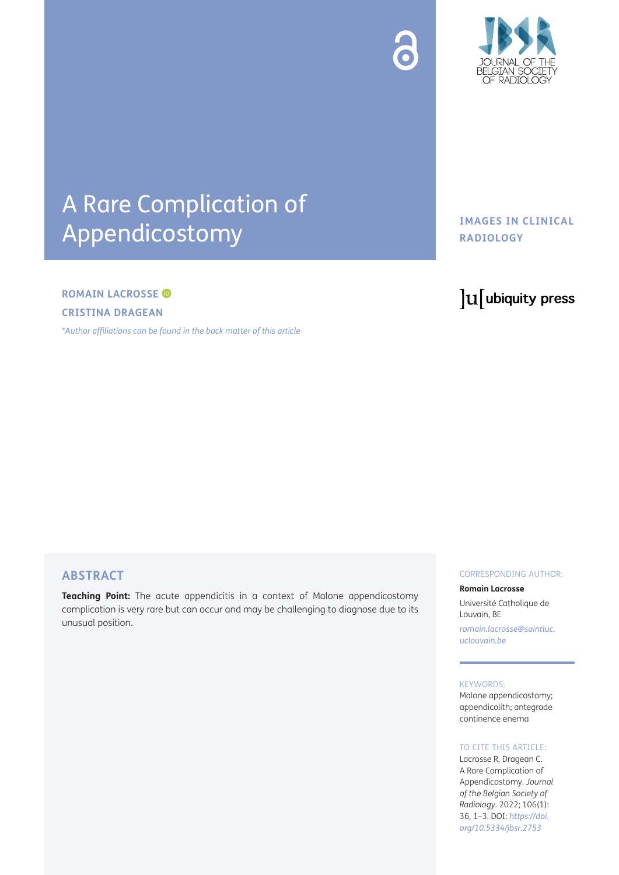



## A Rare Complication of Appendicostomy

#### **ROMAIN LACROSSE**

**CRISTINA DRAGEAN**

*[\\*Author affiliations can be found in the back matter of this article](#page-1-0)*

#### **IMAGES IN CLINICAL RADIOLOGY**

### lu ubiquity press

#### **ABSTRACT**

**Teaching Point:** The acute appendicitis in a context of Malone appendicostomy complication is very rare but can occur and may be challenging to diagnose due to its unusual position.

#### CORRESPONDING AUTHOR:

**Romain Lacrosse** Université Catholique de Louvain, BE

*[romain.lacrosse@saintluc.](mailto:romain.lacrosse@saintluc.uclouvain.be) [uclouvain.be](mailto:romain.lacrosse@saintluc.uclouvain.be)*

#### KEYWORDS:

Malone appendicostomy; appendicolith; antegrade continence enema

#### TO CITE THIS ARTICLE:

Lacrosse R, Dragean C. A Rare Complication of Appendicostomy. *Journal of the Belgian Society of Radiology.* 2022; 106(1): 36, 1–3. DOI: *[https://doi.](https://doi.org/10.5334/jbsr.2753) [org/10.5334/jbsr.2753](https://doi.org/10.5334/jbsr.2753)*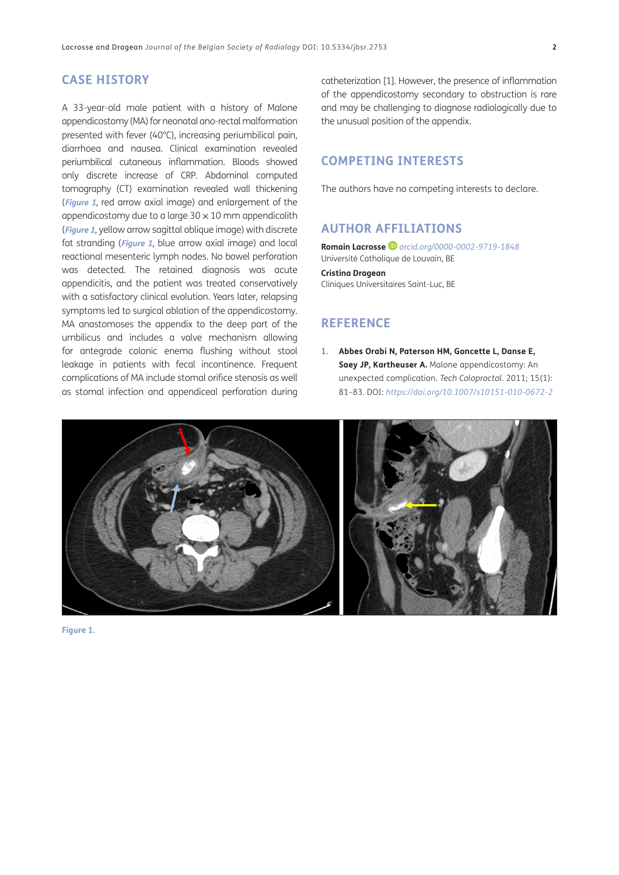#### **CASE HISTORY**

A 33-year-old male patient with a history of Malone appendicostomy (MA) for neonatal ano-rectal malformation presented with fever (40°C), increasing periumbilical pain, diarrhoea and nausea. Clinical examination revealed periumbilical cutaneous inflammation. Bloods showed only discrete increase of CRP. Abdominal computed tomography (CT) examination revealed wall thickening (**[Figure 1](#page-1-1)**, red arrow axial image) and enlargement of the appendicostomy due to a large  $30 \times 10$  mm appendicolith (**[Figure 1](#page-1-1)**, yellow arrow sagittal oblique image) with discrete fat stranding (**[Figure 1](#page-1-1)**, blue arrow axial image) and local reactional mesenteric lymph nodes. No bowel perforation was detected. The retained diagnosis was acute appendicitis, and the patient was treated conservatively with a satisfactory clinical evolution. Years later, relapsing symptoms led to surgical ablation of the appendicostomy. MA anastomoses the appendix to the deep part of the umbilicus and includes a valve mechanism allowing for antegrade colonic enema flushing without stool leakage in patients with fecal incontinence. Frequent complications of MA include stomal orifice stenosis as well as stomal infection and appendiceal perforation during

catheterization [\[1](#page-1-2)]. However, the presence of inflammation of the appendicostomy secondary to obstruction is rare and may be challenging to diagnose radiologically due to the unusual position of the appendix.

#### **COMPETING INTERESTS**

The authors have no competing interests to declare.

#### <span id="page-1-0"></span>**AUTHOR AFFILIATIONS**

**Romain Lacrosse** *[orcid.org/0000-0002-9719-1848](https://orcid.org/0000-0002-9719-1848)* Université Catholique de Louvain, BE **Cristina Dragean** Cliniques Universitaires Saint-Luc, BE

#### **REFERENCE**

<span id="page-1-2"></span>1. **Abbes Orabi N, Paterson HM, Goncette L, Danse E, Saey JP, Kartheuser A.** Malone appendicostomy: An unexpected complication. *Tech Coloproctol*. 2011; 15(1): 81–83. DOI: *<https://doi.org/10.1007/s10151-010-0672-2>*

<span id="page-1-1"></span>

**Figure 1.**